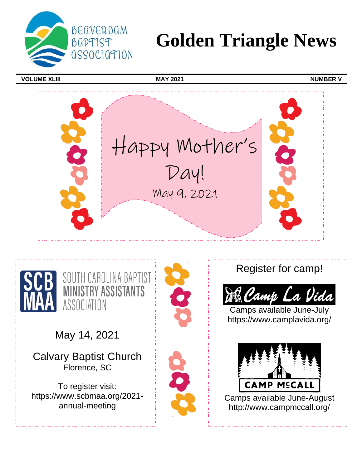

# **Golden Triangle News**

**VOLUME XLIII** NUMBER V





May 14, 2021

Calvary Baptist Church Florence, SC

To register visit: https://www.scbmaa.org/2021 annual-meeting



Register for camp!



Camps available June-July https://www.camplavida.org/

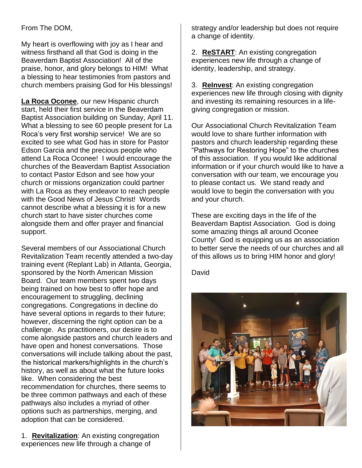# From The DOM,

My heart is overflowing with joy as I hear and witness firsthand all that God is doing in the Beaverdam Baptist Association! All of the praise, honor, and glory belongs to HIM! What a blessing to hear testimonies from pastors and church members praising God for His blessings!

**La Roca Oconee**, our new Hispanic church start, held their first service in the Beaverdam Baptist Association building on Sunday, April 11. What a blessing to see 60 people present for La Roca's very first worship service! We are so excited to see what God has in store for Pastor Edson Garcia and the precious people who attend La Roca Oconee! I would encourage the churches of the Beaverdam Baptist Association to contact Pastor Edson and see how your church or missions organization could partner with La Roca as they endeavor to reach people with the Good News of Jesus Christ! Words cannot describe what a blessing it is for a new church start to have sister churches come alongside them and offer prayer and financial support.

Several members of our Associational Church Revitalization Team recently attended a two-day training event (Replant Lab) in Atlanta, Georgia, sponsored by the North American Mission Board. Our team members spent two days being trained on how best to offer hope and encouragement to struggling, declining congregations. Congregations in decline do have several options in regards to their future; however, discerning the right option can be a challenge. As practitioners, our desire is to come alongside pastors and church leaders and have open and honest conversations. Those conversations will include talking about the past, the historical markers/highlights in the church's history, as well as about what the future looks like. When considering the best recommendation for churches, there seems to be three common pathways and each of these pathways also includes a myriad of other options such as partnerships, merging, and adoption that can be considered.

1. **Revitalization**: An existing congregation experiences new life through a change of

strategy and/or leadership but does not require a change of identity.

2. **ReSTART**: An existing congregation experiences new life through a change of identity, leadership, and strategy.

3. **ReInvest**: An existing congregation experiences new life through closing with dignity and investing its remaining resources in a lifegiving congregation or mission.

Our Associational Church Revitalization Team would love to share further information with pastors and church leadership regarding these "Pathways for Restoring Hope" to the churches of this association. If you would like additional information or if your church would like to have a conversation with our team, we encourage you to please contact us. We stand ready and would love to begin the conversation with you and your church.

These are exciting days in the life of the Beaverdam Baptist Association. God is doing some amazing things all around Oconee County! God is equipping us as an association to better serve the needs of our churches and all of this allows us to bring HIM honor and glory!

David

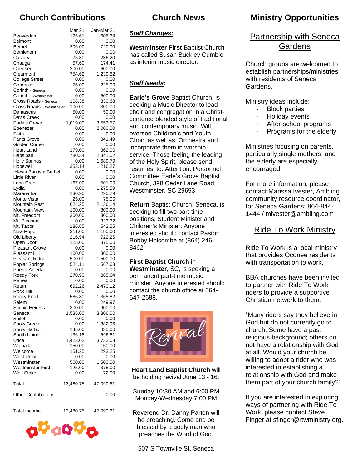# **Church Contributions**

|                                               | Mar 21           | Jan-Mar 21         |
|-----------------------------------------------|------------------|--------------------|
| Beaverdam                                     | 195.61           | 606.69             |
| <b>Belmont</b>                                | 0.00             | 0.00               |
| Bethel                                        | 206.00           | 720.00             |
| Bethlehem                                     | 0.00             | 0.00               |
| Calvary                                       | 75.80            | 236.20             |
| Chauga<br>Cheohee                             | 57.60<br>200.00  | 174.41<br>600.00   |
| Clearmont                                     | 754.62           | 1,239.62           |
| <b>College Street</b>                         | 0.00             | 0.00               |
| Coneross                                      | 75.00            | 225.00             |
| Corinth - Seneca                              | 0.00             | 0.00               |
| Corinth - Westminster                         | 0.00             | 500.00             |
| Cross Roads - Seneca                          | 108.38           | 330.68             |
| Cross Roads - Westminster                     | 100.00           | 300.00             |
| Damascus                                      | 50.00            | 50.00              |
| Davis Creek<br>Earle's Grove                  | 0.00<br>1,019.00 | 0.00<br>3,553.57   |
| Ebenezer                                      | 0.00             | 2,000.00           |
| Faith                                         | 0.00             | 0.00               |
| <b>Fants Grove</b>                            | 0.00             | 341.49             |
| Golden Corner                                 | 0.00             | 0.00               |
| <b>Heart Land</b>                             | 179.00           | 362.00             |
| Hepsibah                                      | 780.34           | 2,341.02           |
| <b>Holly Springs</b>                          | 0.00             | 1,689.79           |
| Hopewell                                      | 353.14           | 1,216.27           |
| Iglesia Bautista Bethel<br>Little River       | 0.00<br>0.00     | 0.00<br>0.00       |
| Long Creek                                    | 167.00           | 501.00             |
| Lydia                                         | 0.00             | 1,275.59           |
| Maranatha                                     | 130.90           | 290.79             |
| Monte Vista                                   | 25.00            | 75.00              |
| Mountain Rest                                 | 624.25           | 2,136.14           |
| <b>Mountain View</b>                          | 100.00           | 300.00             |
| Mt. Freedom                                   | 300.00           | 300.00             |
| Mt. Pleasant                                  | 0.00             | 333.32             |
| Mt. Tabor<br>New Hope                         | 186.65<br>311.00 | 542.55<br>1,190.00 |
| Old Liberty                                   | 216.94           | 722.25             |
| Open Door                                     | 125.00           | 375.00             |
| <b>Pleasant Grove</b>                         | 0.00             | 0.00               |
| <b>Pleasant Hill</b>                          | 100.00           | 300.00             |
| Pleasant Ridge                                | 500.00           | 1,500.00           |
| Poplar Springs                                | 524.11           | 1,567.63           |
| Puerta Abierta                                | 0.00             | 0.00               |
| <b>Reedy Fork</b><br>Retreat                  | 270.90<br>0.00   | 865.64<br>0.00     |
| Return                                        | 692.26           | 2,470.12           |
| Rock Hill                                     | 0.00             | 0.00               |
| Rocky Knoll                                   | 586.80           | 1,365.82           |
| Salem                                         | 0.00             | 1,249.97           |
| Scenic Heights                                | 300.00           | 900.00             |
| Seneca                                        | 1,535.00         | 3,806.00           |
| Shiloh<br><b>Snow Creek</b>                   | 0.00             | 0.00<br>1,382.96   |
| Souls Harbor                                  | 0.00<br>145.00   | 435.00             |
| South Union                                   | 136.18           | 596.81             |
| Utica                                         | 1,423.02         | 3,732.03           |
| Walhalla                                      | 150.00           | 150.00             |
| Welcome                                       | 151.25           | 293.25             |
| <b>West Union</b>                             | 0.00             | 0.00               |
| Westminster                                   | 500.00           | 1,500.00           |
| <b>Westminster First</b><br><b>Wolf Stake</b> | 125.00           | 375.00<br>72.00    |
|                                               | 0.00             |                    |
| Total                                         | 13,480.75        | 47,090.61          |
| <b>Other Contributions</b>                    |                  | 0.00               |
|                                               |                  |                    |
| <b>Total Income</b>                           | 13,480.75        | 47,090.61          |

თზიიზი

# **Church News**

## *Staff Changes:*

**Westminster First** Baptist Church has called Susan Buckley Cumbie as interim music director.

# *Staff Needs:*

**Earle's Grove** Baptist Church, is seeking a Music Director to lead choir and congregation in a Christcentered blended style of traditional and contemporary music. Will oversee Children's and Youth Choir, as well as, Orchestra and incorporate them in worship service. Those feeling the leading of the Holy Spirit, please send resumes' to: Attention: Personnel Committee Earle's Grove Baptist Church, 398 Cedar Lane Road Westminster, SC 29693

**Return** Baptist Church, Seneca, is seeking to fill two part-time positions, Student Minister and Children's Minister. Anyone interested should contact Pastor Bobby Holcombe at (864) 246- 8462.

**First Baptist Church** in **Westminster**, SC, is seeking a permanent part-time music minister. Anyone interested should contact the church office at 864- 647-2688.



**Heart Land Baptist Church** will be holding revival June 13 - 16.

Sunday 10:30 AM and 6:00 PM Monday-Wednesday 7:00 PM

Reverend Dr. Danny Parton will be preaching. Come and be blessed by a godly man who preaches the Word of God.

# **Ministry Opportunities**

# Partnership with Seneca **Gardens**

Church groups are welcomed to establish partnerships/ministries with residents of Seneca Gardens.

Ministry ideas include:

- Block parties
- Holiday events
- After-school programs
- Programs for the elderly

Ministries focusing on parents, particularly single mothers, and the elderly are especially encouraged.

For more information, please contact Marissa Ivester, Ambling community resource coordinator, for Seneca Gardens: 864-844- 1444 / mivester@ambling.com

# Ride To Work Ministry

Ride To Work is a local ministry that provides Oconee residents with transportation to work.

BBA churches have been invited to partner with Ride To Work riders to provide a supportive Christian network to them.

"Many riders say they believe in God but do not currently go to church. Some have a past religious background; others do not have a relationship with God at all. Would your church be willing to adopt a rider who was interested in establishing a relationship with God and make them part of your church family?"

If you are interested in exploring ways of partnering with Ride To Work, please contact Steve Finger at sfinger@rtwministry.org.